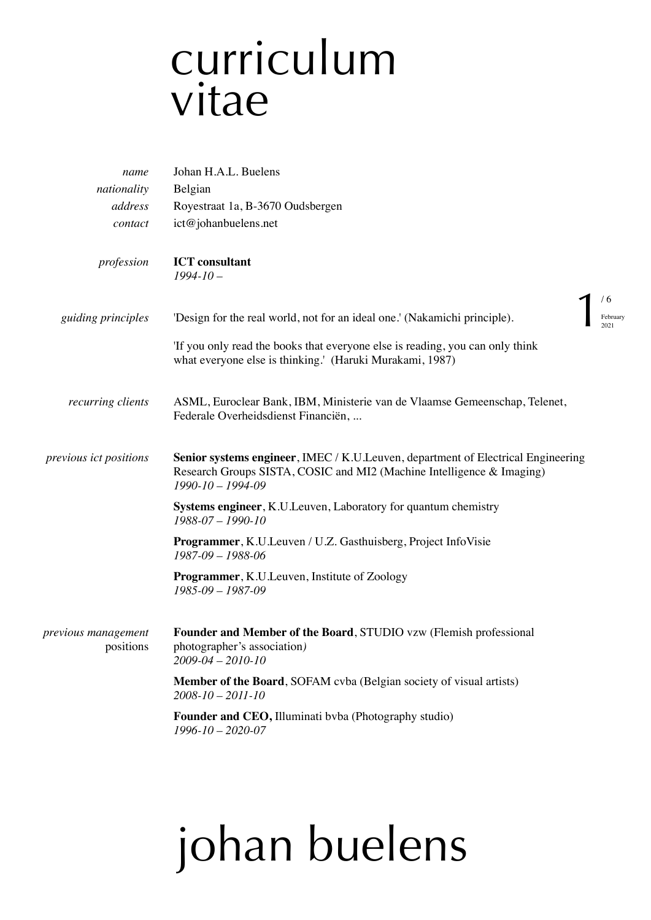### curriculum vitae

| name                             | Johan H.A.L. Buelens                                                                                                                                                                 |          |
|----------------------------------|--------------------------------------------------------------------------------------------------------------------------------------------------------------------------------------|----------|
| nationality                      | Belgian                                                                                                                                                                              |          |
| address                          | Royestraat 1a, B-3670 Oudsbergen                                                                                                                                                     |          |
| contact                          | ict@johanbuelens.net                                                                                                                                                                 |          |
| profession                       | <b>ICT</b> consultant<br>$1994 - 10 -$                                                                                                                                               |          |
|                                  | 76                                                                                                                                                                                   |          |
| guiding principles               | 'Design for the real world, not for an ideal one.' (Nakamichi principle).                                                                                                            | February |
|                                  | 'If you only read the books that everyone else is reading, you can only think<br>what everyone else is thinking.' (Haruki Murakami, 1987)                                            |          |
| recurring clients                | ASML, Euroclear Bank, IBM, Ministerie van de Vlaamse Gemeenschap, Telenet,<br>Federale Overheidsdienst Financiën,                                                                    |          |
| previous ict positions           | Senior systems engineer, IMEC / K.U.Leuven, department of Electrical Engineering<br>Research Groups SISTA, COSIC and MI2 (Machine Intelligence & Imaging)<br>$1990 - 10 - 1994 - 09$ |          |
|                                  | <b>Systems engineer, K.U.Leuven, Laboratory for quantum chemistry</b><br>1988-07 - 1990-10                                                                                           |          |
|                                  | <b>Programmer, K.U.Leuven / U.Z. Gasthuisberg, Project InfoVisie</b><br>$1987-09 - 1988-06$                                                                                          |          |
|                                  | <b>Programmer, K.U. Leuven, Institute of Zoology</b><br>1985-09 - 1987-09                                                                                                            |          |
| previous management<br>positions | Founder and Member of the Board, STUDIO vzw (Flemish professional<br>photographer's association)<br>$2009 - 04 - 2010 - 10$                                                          |          |
|                                  | <b>Member of the Board, SOFAM cvba (Belgian society of visual artists)</b><br>$2008 - 10 - 2011 - 10$                                                                                |          |
|                                  | Founder and CEO, Illuminati byba (Photography studio)<br>$1996 - 10 - 2020 - 07$                                                                                                     |          |
|                                  |                                                                                                                                                                                      |          |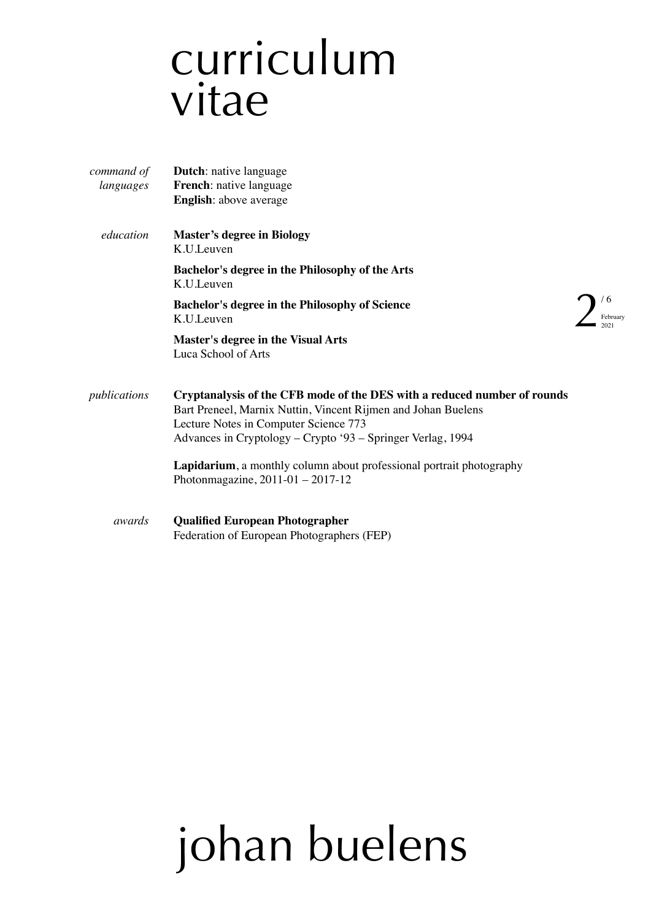### curriculum vitae

| command of   | Dutch: native language                                                                                                                                                                                                                            |  |
|--------------|---------------------------------------------------------------------------------------------------------------------------------------------------------------------------------------------------------------------------------------------------|--|
| languages    | French: native language                                                                                                                                                                                                                           |  |
|              | <b>English:</b> above average                                                                                                                                                                                                                     |  |
| education    | <b>Master's degree in Biology</b><br>K.U.Leuven                                                                                                                                                                                                   |  |
|              | Bachelor's degree in the Philosophy of the Arts<br>K.U.Leuven                                                                                                                                                                                     |  |
|              | <b>Bachelor's degree in the Philosophy of Science</b><br>K.U.Leuven                                                                                                                                                                               |  |
|              | <b>Master's degree in the Visual Arts</b><br>Luca School of Arts                                                                                                                                                                                  |  |
| publications | Cryptanalysis of the CFB mode of the DES with a reduced number of rounds<br>Bart Preneel, Marnix Nuttin, Vincent Rijmen and Johan Buelens<br>Lecture Notes in Computer Science 773<br>Advances in Cryptology – Crypto '93 – Springer Verlag, 1994 |  |
|              | <b>Lapidarium</b> , a monthly column about professional portrait photography<br>Photonmagazine, $2011-01 - 2017-12$                                                                                                                               |  |
| awards       | <b>Qualified European Photographer</b><br>Federation of European Photographers (FEP)                                                                                                                                                              |  |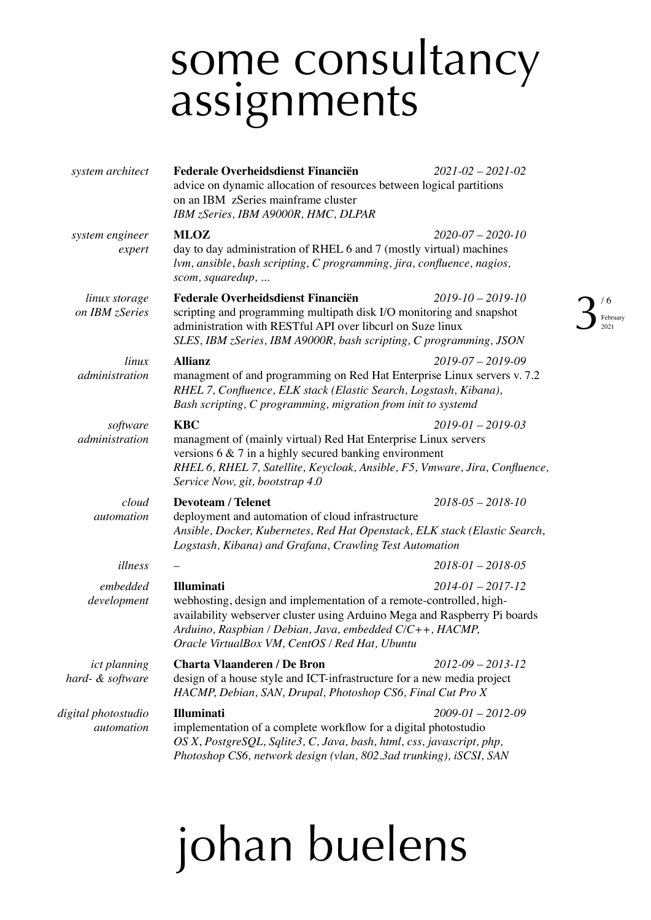### some consultancy assignments

| system architect                        | <b>Federale Overheidsdienst Financiën</b><br>advice on dynamic allocation of resources between logical partitions<br>on an IBM zSeries mainframe cluster<br>IBM zSeries, IBM A9000R, HMC, DLPAR                                                                                                                | $2021 - 02 - 2021 - 02$        |
|-----------------------------------------|----------------------------------------------------------------------------------------------------------------------------------------------------------------------------------------------------------------------------------------------------------------------------------------------------------------|--------------------------------|
| system engineer<br>expert               | <b>MLOZ</b><br>day to day administration of RHEL 6 and 7 (mostly virtual) machines<br>lvm, ansible, bash scripting, C programming, jira, confluence, nagios,<br>scom, squaredup,                                                                                                                               | $2020 - 07 - 2020 - 10$        |
| linux storage<br>on IBM zSeries         | Federale Overheidsdienst Financiën<br>scripting and programming multipath disk I/O monitoring and snapshot<br>administration with RESTful API over libcurl on Suze linux<br>SLES, IBM zSeries, IBM A9000R, bash scripting, C programming, JSON                                                                 | $2019 - 10 - 2019 - 10$<br>/ C |
| linux<br>administration                 | <b>Allianz</b><br>$2019 - 07 - 2019 - 09$<br>managment of and programming on Red Hat Enterprise Linux servers v. 7.2<br>RHEL 7, Confluence, ELK stack (Elastic Search, Logstash, Kibana),<br>Bash scripting, C programming, migration from init to systemd                                                     |                                |
| software<br>administration              | <b>KBC</b><br>$2019 - 01 - 2019 - 03$<br>managment of (mainly virtual) Red Hat Enterprise Linux servers<br>versions $6 \& 7$ in a highly secured banking environment<br>RHEL 6, RHEL 7, Satellite, Keycloak, Ansible, F5, Vmware, Jira, Confluence,<br>Service Now, git, bootstrap 4.0                         |                                |
| cloud<br>automation                     | <b>Devoteam / Telenet</b><br>deployment and automation of cloud infrastructure<br>Ansible, Docker, Kubernetes, Red Hat Openstack, ELK stack (Elastic Search,<br>Logstash, Kibana) and Grafana, Crawling Test Automation                                                                                        | $2018 - 05 - 2018 - 10$        |
| illness                                 |                                                                                                                                                                                                                                                                                                                | $2018 - 01 - 2018 - 05$        |
| embedded<br>development                 | <b>Illuminati</b><br>$2014 - 01 - 2017 - 12$<br>webhosting, design and implementation of a remote-controlled, high-<br>availability webserver cluster using Arduino Mega and Raspberry Pi boards<br>Arduino, Raspbian / Debian, Java, embedded C/C++, HACMP,<br>Oracle VirtualBox VM, CentOS / Red Hat, Ubuntu |                                |
| <i>ict planning</i><br>hard- & software | <b>Charta Vlaanderen / De Bron</b><br>design of a house style and ICT-infrastructure for a new media project<br>HACMP, Debian, SAN, Drupal, Photoshop CS6, Final Cut Pro X                                                                                                                                     | $2012 - 09 - 2013 - 12$        |
| digital photostudio<br>automation       | <b>Illuminati</b><br>implementation of a complete workflow for a digital photostudio<br>OS X, PostgreSQL, Sqlite3, C, Java, bash, html, css, javascript, php,<br>Photoshop CS6, network design (vlan, 802.3ad trunking), iSCSI, SAN                                                                            | $2009 - 01 - 2012 - 09$        |

### johan buelens

#### February  $021$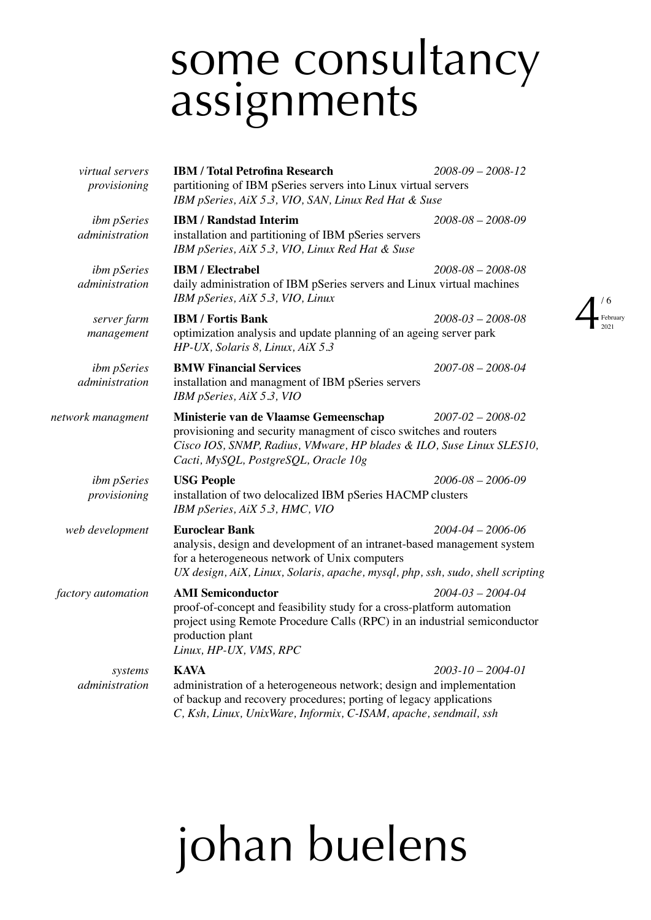#### some consultancy assignments

| virtual servers<br>provisioning      | <b>IBM / Total Petrofina Research</b><br>partitioning of IBM pSeries servers into Linux virtual servers<br>IBM pSeries, AiX 5.3, VIO, SAN, Linux Red Hat & Suse                                                                                                | $2008 - 09 - 2008 - 12$       |
|--------------------------------------|----------------------------------------------------------------------------------------------------------------------------------------------------------------------------------------------------------------------------------------------------------------|-------------------------------|
| <i>ibm pSeries</i><br>administration | <b>IBM / Randstad Interim</b><br>installation and partitioning of IBM pSeries servers<br>IBM pSeries, AiX 5.3, VIO, Linux Red Hat & Suse                                                                                                                       | $2008 - 08 - 2008 - 09$       |
| ibm pSeries<br>administration        | <b>IBM</b> / Electrabel<br>daily administration of IBM pSeries servers and Linux virtual machines<br>IBM pSeries, AiX 5.3, VIO, Linux                                                                                                                          | $2008 - 08 - 2008 - 08$<br>/6 |
| server farm<br>management            | <b>IBM / Fortis Bank</b><br>optimization analysis and update planning of an ageing server park<br>HP-UX, Solaris 8, Linux, AiX 5.3                                                                                                                             | $2008 - 03 - 2008 - 08$       |
| <i>ibm pSeries</i><br>administration | <b>BMW Financial Services</b><br>installation and managment of IBM pSeries servers<br>IBM pSeries, AiX 5.3, VIO                                                                                                                                                | $2007 - 08 - 2008 - 04$       |
| network managment                    | Ministerie van de Vlaamse Gemeenschap<br>$2007 - 02 - 2008 - 02$<br>provisioning and security managment of cisco switches and routers<br>Cisco IOS, SNMP, Radius, VMware, HP blades & ILO, Suse Linux SLES10,<br>Cacti, MySQL, PostgreSQL, Oracle 10g          |                               |
| <i>ibm pSeries</i><br>provisioning   | <b>USG People</b><br>installation of two delocalized IBM pSeries HACMP clusters<br>IBM pSeries, AiX 5.3, HMC, VIO                                                                                                                                              | $2006 - 08 - 2006 - 09$       |
| web development                      | <b>Euroclear Bank</b><br>$2004 - 04 - 2006 - 06$<br>analysis, design and development of an intranet-based management system<br>for a heterogeneous network of Unix computers<br>UX design, AiX, Linux, Solaris, apache, mysql, php, ssh, sudo, shell scripting |                               |
| factory automation                   | <b>AMI Semiconductor</b><br>proof-of-concept and feasibility study for a cross-platform automation<br>project using Remote Procedure Calls (RPC) in an industrial semiconductor<br>production plant<br>Linux, HP-UX, VMS, RPC                                  | $2004 - 03 - 2004 - 04$       |
| systems<br>administration            | <b>KAVA</b><br>administration of a heterogeneous network; design and implementation<br>of backup and recovery procedures; porting of legacy applications<br>C, Ksh, Linux, UnixWare, Informix, C-ISAM, apache, sendmail, ssh                                   | $2003 - 10 - 2004 - 01$       |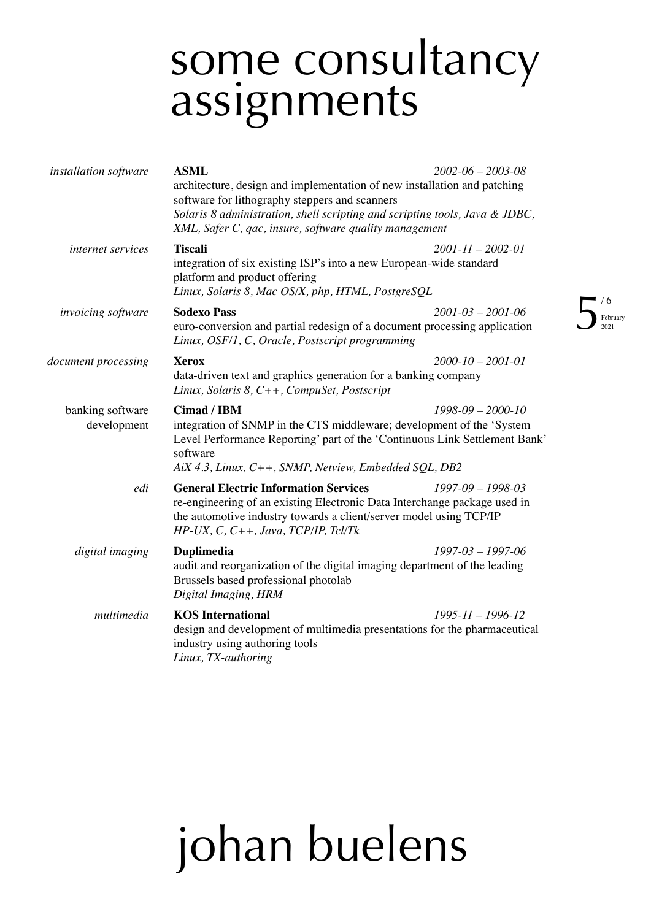#### some consultancy assignments

February 2021

| installation software           | <b>ASML</b><br>architecture, design and implementation of new installation and patching<br>software for lithography steppers and scanners<br>Solaris 8 administration, shell scripting and scripting tools, Java & JDBC,<br>XML, Safer C, qac, insure, software quality management | $2002 - 06 - 2003 - 08$        |
|---------------------------------|------------------------------------------------------------------------------------------------------------------------------------------------------------------------------------------------------------------------------------------------------------------------------------|--------------------------------|
| internet services               | <b>Tiscali</b><br>integration of six existing ISP's into a new European-wide standard<br>platform and product offering<br>Linux, Solaris 8, Mac OS/X, php, HTML, PostgreSQL                                                                                                        | $2001 - 11 - 2002 - 01$        |
| <i>invoicing software</i>       | <b>Sodexo Pass</b><br>euro-conversion and partial redesign of a document processing application<br>Linux, OSF/1, C, Oracle, Postscript programming                                                                                                                                 | / C<br>$2001 - 03 - 2001 - 06$ |
| document processing             | <b>Xerox</b><br>data-driven text and graphics generation for a banking company<br>Linux, Solaris 8, C++, CompuSet, Postscript                                                                                                                                                      | $2000 - 10 - 2001 - 01$        |
| banking software<br>development | Cimad / IBM<br>$1998-09 - 2000-10$<br>integration of SNMP in the CTS middleware; development of the 'System<br>Level Performance Reporting' part of the 'Continuous Link Settlement Bank'<br>software<br>AiX 4.3, Linux, C++, SNMP, Netview, Embedded SQL, DB2                     |                                |
| edi                             | <b>General Electric Information Services</b><br>re-engineering of an existing Electronic Data Interchange package used in<br>the automotive industry towards a client/server model using TCP/IP<br>$HP$ -UX, C, C++, Java, TCP/IP, Tcl/Tk                                          | $1997 - 09 - 1998 - 03$        |
| digital imaging                 | <b>Duplimedia</b><br>audit and reorganization of the digital imaging department of the leading<br>Brussels based professional photolab<br>Digital Imaging, HRM                                                                                                                     | $1997-03 - 1997-06$            |
| multimedia                      | <b>KOS</b> International<br>design and development of multimedia presentations for the pharmaceutical<br>industry using authoring tools<br>Linux, TX-authoring                                                                                                                     | $1995 - 11 - 1996 - 12$        |